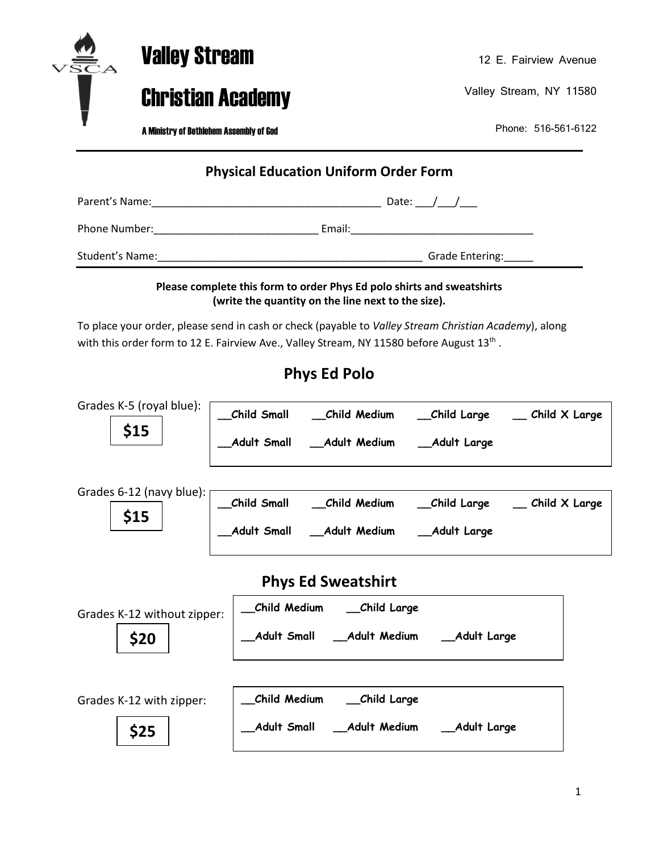

12 E. Fairview Avenue

Valley Stream, NY 11580

Phone: 516-561-6122

## **Physical Education Uniform Order Form**

| Parent's Name: | Date:  |
|----------------|--------|
| Phone Number:  | Email: |

Student's Name: The Communication of the Communication of the Communication of Grade Entering:

## **Please complete this form to order Phys Ed polo shirts and sweatshirts (write the quantity on the line next to the size).**

To place your order, please send in cash or check (payable to *Valley Stream Christian Academy*), along with this order form to 12 E. Fairview Ave., Valley Stream, NY 11580 before August 13<sup>th</sup>.

## **Phys Ed Polo**